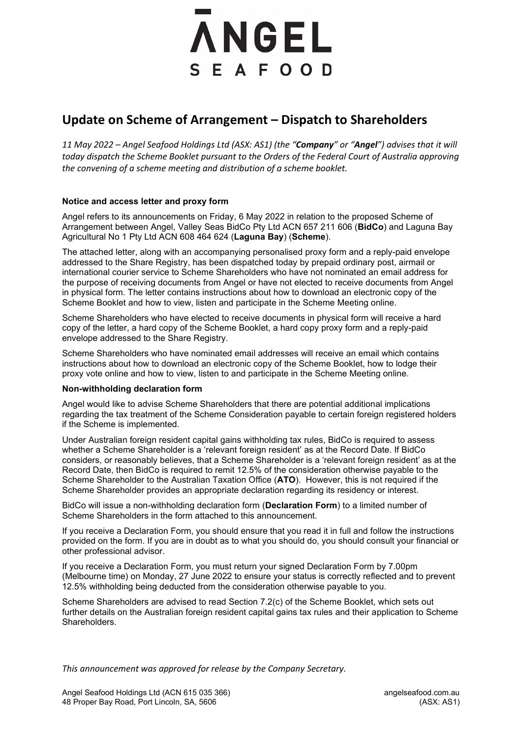# **ANGEL** SEAFOOD

## **Update on Scheme of Arrangement – Dispatch to Shareholders**

*11 May 2022 – Angel Seafood Holdings Ltd (ASX: AS1) (the "Company" or "Angel") advises that it will today dispatch the Scheme Booklet pursuant to the Orders of the Federal Court of Australia approving the convening of a scheme meeting and distribution of a scheme booklet.*

### **Notice and access letter and proxy form**

Angel refers to its announcements on Friday, 6 May 2022 in relation to the proposed Scheme of Arrangement between Angel, Valley Seas BidCo Pty Ltd ACN 657 211 606 (**BidCo**) and Laguna Bay Agricultural No 1 Pty Ltd ACN 608 464 624 (**Laguna Bay**) (**Scheme**).

The attached letter, along with an accompanying personalised proxy form and a reply-paid envelope addressed to the Share Registry, has been dispatched today by prepaid ordinary post, airmail or international courier service to Scheme Shareholders who have not nominated an email address for the purpose of receiving documents from Angel or have not elected to receive documents from Angel in physical form. The letter contains instructions about how to download an electronic copy of the Scheme Booklet and how to view, listen and participate in the Scheme Meeting online.

Scheme Shareholders who have elected to receive documents in physical form will receive a hard copy of the letter, a hard copy of the Scheme Booklet, a hard copy proxy form and a reply-paid envelope addressed to the Share Registry.

Scheme Shareholders who have nominated email addresses will receive an email which contains instructions about how to download an electronic copy of the Scheme Booklet, how to lodge their proxy vote online and how to view, listen to and participate in the Scheme Meeting online.

#### **Non-withholding declaration form**

Angel would like to advise Scheme Shareholders that there are potential additional implications regarding the tax treatment of the Scheme Consideration payable to certain foreign registered holders if the Scheme is implemented.

Under Australian foreign resident capital gains withholding tax rules, BidCo is required to assess whether a Scheme Shareholder is a 'relevant foreign resident' as at the Record Date. If BidCo considers, or reasonably believes, that a Scheme Shareholder is a 'relevant foreign resident' as at the Record Date, then BidCo is required to remit 12.5% of the consideration otherwise payable to the Scheme Shareholder to the Australian Taxation Office (**ATO**). However, this is not required if the Scheme Shareholder provides an appropriate declaration regarding its residency or interest.

BidCo will issue a non-withholding declaration form (**Declaration Form**) to a limited number of Scheme Shareholders in the form attached to this announcement.

If you receive a Declaration Form, you should ensure that you read it in full and follow the instructions provided on the form. If you are in doubt as to what you should do, you should consult your financial or other professional advisor.

If you receive a Declaration Form, you must return your signed Declaration Form by 7.00pm (Melbourne time) on Monday, 27 June 2022 to ensure your status is correctly reflected and to prevent 12.5% withholding being deducted from the consideration otherwise payable to you.

Scheme Shareholders are advised to read Section 7.2(c) of the Scheme Booklet, which sets out further details on the Australian foreign resident capital gains tax rules and their application to Scheme Shareholders.

*This announcement was approved for release by the Company Secretary.*